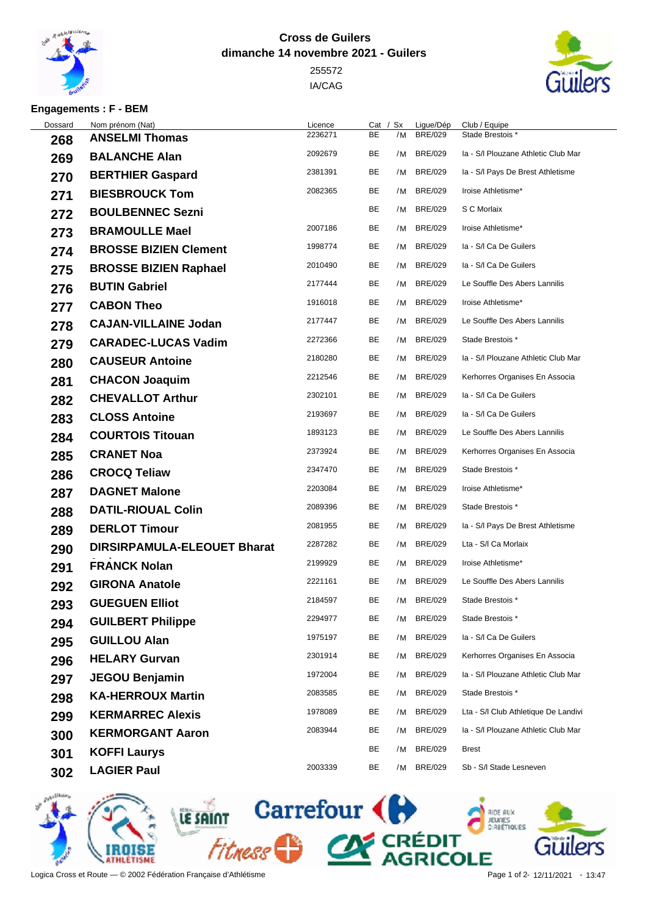

## **Cross de Guilers dimanche 14 novembre 2021 - Guilers**

 IA/CAG



## **Engagements : F - BEM**

| Nom prénom (Nat)                   | Licence | Cat |    | Ligue/Dép      | Club / Equipe                        |
|------------------------------------|---------|-----|----|----------------|--------------------------------------|
| <b>ANSELMI Thomas</b>              | 2236271 | BE  | /M | <b>BRE/029</b> | Stade Brestois *                     |
| <b>BALANCHE Alan</b>               | 2092679 | BE  | /M | <b>BRE/029</b> | Ia - S/I Plouzane Athletic Club Mar  |
| <b>BERTHIER Gaspard</b>            | 2381391 | BE  | /M | <b>BRE/029</b> | Ia - S/I Pays De Brest Athletisme    |
| <b>BIESBROUCK Tom</b>              | 2082365 | BE  | /M | <b>BRE/029</b> | Iroise Athletisme*                   |
| <b>BOULBENNEC Sezni</b>            |         | BE  | /M | <b>BRE/029</b> | S C Morlaix                          |
| <b>BRAMOULLE Mael</b>              | 2007186 | BE  | /M | <b>BRE/029</b> | Iroise Athletisme*                   |
| <b>BROSSE BIZIEN Clement</b>       | 1998774 | BE  | /M | <b>BRE/029</b> | la - S/I Ca De Guilers               |
| <b>BROSSE BIZIEN Raphael</b>       | 2010490 | BE  | /M | <b>BRE/029</b> | la - S/I Ca De Guilers               |
| <b>BUTIN Gabriel</b>               | 2177444 | BE  | /M | <b>BRE/029</b> | Le Souffle Des Abers Lannilis        |
| <b>CABON Theo</b>                  | 1916018 | BE  | /M | <b>BRE/029</b> | Iroise Athletisme*                   |
| <b>CAJAN-VILLAINE Jodan</b>        | 2177447 | BE  | /M | <b>BRE/029</b> | Le Souffle Des Abers Lannilis        |
| <b>CARADEC-LUCAS Vadim</b>         | 2272366 | BE  | /M | <b>BRE/029</b> | Stade Brestois *                     |
| <b>CAUSEUR Antoine</b>             | 2180280 | BE  | /M | <b>BRE/029</b> | Ia - S/I Plouzane Athletic Club Mar  |
| <b>CHACON Joaquim</b>              | 2212546 | BE  | /M | <b>BRE/029</b> | Kerhorres Organises En Associa       |
| <b>CHEVALLOT Arthur</b>            | 2302101 | BE  | /M | <b>BRE/029</b> | la - S/I Ca De Guilers               |
| <b>CLOSS Antoine</b>               | 2193697 | BE  | /M | <b>BRE/029</b> | la - S/I Ca De Guilers               |
| <b>COURTOIS Titouan</b>            | 1893123 | BE  | /M | <b>BRE/029</b> | Le Souffle Des Abers Lannilis        |
| <b>CRANET Noa</b>                  | 2373924 | BE  | /M | <b>BRE/029</b> | Kerhorres Organises En Associa       |
| <b>CROCQ Teliaw</b>                | 2347470 | BE  |    | <b>BRE/029</b> | Stade Brestois *                     |
| <b>DAGNET Malone</b>               | 2203084 | BE  | /M | <b>BRE/029</b> | Iroise Athletisme*                   |
| <b>DATIL-RIOUAL Colin</b>          | 2089396 | BE  | /M | <b>BRE/029</b> | Stade Brestois *                     |
| <b>DERLOT Timour</b>               | 2081955 | BE  | /M | <b>BRE/029</b> | Ia - S/I Pays De Brest Athletisme    |
| <b>DIRSIRPAMULA-ELEOUET Bharat</b> | 2287282 | BE  | /M | <b>BRE/029</b> | Lta - S/I Ca Morlaix                 |
| <b>FRANCK Nolan</b>                | 2199929 | BE  | /M | <b>BRE/029</b> | Iroise Athletisme*                   |
| <b>GIRONA Anatole</b>              | 2221161 | BE  | /M | <b>BRE/029</b> | Le Souffle Des Abers Lannilis        |
| <b>GUEGUEN Elliot</b>              | 2184597 | BE  |    | <b>BRE/029</b> | Stade Brestois *                     |
| <b>GUILBERT Philippe</b>           | 2294977 | BE  | /M | <b>BRE/029</b> | Stade Brestois *                     |
| <b>GUILLOU Alan</b>                | 1975197 | BE  | /M | <b>BRE/029</b> | la - S/I Ca De Guilers               |
| <b>HELARY Gurvan</b>               | 2301914 | BE  | /M | <b>BRE/029</b> | Kerhorres Organises En Associa       |
| <b>JEGOU Benjamin</b>              | 1972004 | BE  | /M | <b>BRE/029</b> | Ia - S/I Plouzane Athletic Club Mar  |
| <b>KA-HERROUX Martin</b>           | 2083585 | BE  | /M | <b>BRE/029</b> | Stade Brestois *                     |
| <b>KERMARREC Alexis</b>            | 1978089 | BE  | /M | <b>BRE/029</b> | Lta - S/I Club Athletique De Landivi |
| <b>KERMORGANT Aaron</b>            | 2083944 | BE  | /M | <b>BRE/029</b> | Ia - S/I Plouzane Athletic Club Mar  |
| <b>KOFFI Laurys</b>                |         | BE  | /M | <b>BRE/029</b> | <b>Brest</b>                         |
| <b>LAGIER Paul</b>                 | 2003339 | BE  | /M | <b>BRE/029</b> | Sb - S/I Stade Lesneven              |
|                                    |         |     |    | / Sx           | /M<br>/M                             |